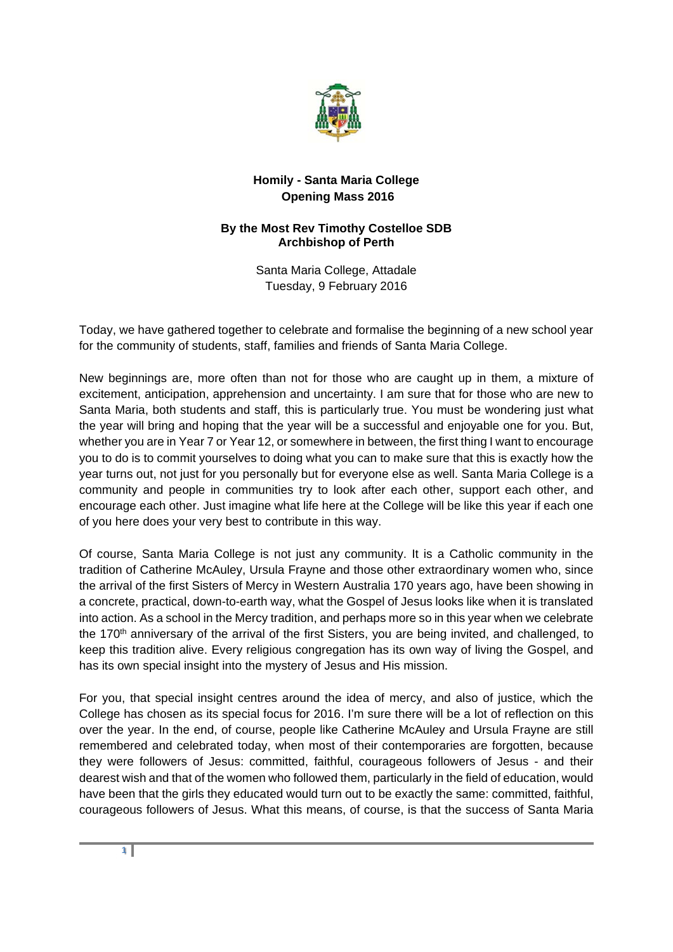

## **Homily - Santa Maria College Opening Mass 2016**

## **By the Most Rev Timothy Costelloe SDB Archbishop of Perth**

Santa Maria College, Attadale Tuesday, 9 February 2016

Today, we have gathered together to celebrate and formalise the beginning of a new school year for the community of students, staff, families and friends of Santa Maria College.

New beginnings are, more often than not for those who are caught up in them, a mixture of excitement, anticipation, apprehension and uncertainty. I am sure that for those who are new to Santa Maria, both students and staff, this is particularly true. You must be wondering just what the year will bring and hoping that the year will be a successful and enjoyable one for you. But, whether you are in Year 7 or Year 12, or somewhere in between, the first thing I want to encourage you to do is to commit yourselves to doing what you can to make sure that this is exactly how the year turns out, not just for you personally but for everyone else as well. Santa Maria College is a community and people in communities try to look after each other, support each other, and encourage each other. Just imagine what life here at the College will be like this year if each one of you here does your very best to contribute in this way.

Of course, Santa Maria College is not just any community. It is a Catholic community in the tradition of Catherine McAuley, Ursula Frayne and those other extraordinary women who, since the arrival of the first Sisters of Mercy in Western Australia 170 years ago, have been showing in a concrete, practical, down-to-earth way, what the Gospel of Jesus looks like when it is translated into action. As a school in the Mercy tradition, and perhaps more so in this year when we celebrate the 170<sup>th</sup> anniversary of the arrival of the first Sisters, you are being invited, and challenged, to keep this tradition alive. Every religious congregation has its own way of living the Gospel, and has its own special insight into the mystery of Jesus and His mission.

For you, that special insight centres around the idea of mercy, and also of justice, which the College has chosen as its special focus for 2016. I'm sure there will be a lot of reflection on this over the year. In the end, of course, people like Catherine McAuley and Ursula Frayne are still remembered and celebrated today, when most of their contemporaries are forgotten, because they were followers of Jesus: committed, faithful, courageous followers of Jesus - and their dearest wish and that of the women who followed them, particularly in the field of education, would have been that the girls they educated would turn out to be exactly the same: committed, faithful, courageous followers of Jesus. What this means, of course, is that the success of Santa Maria